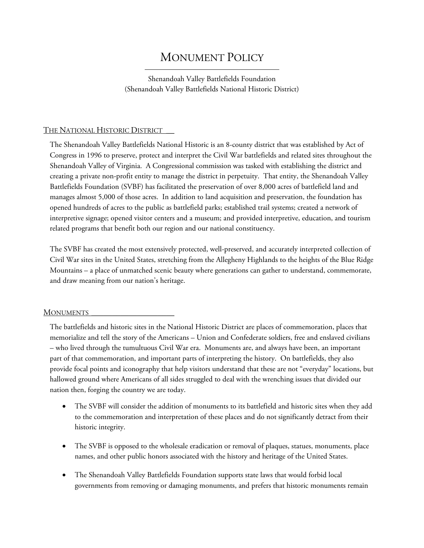## MONUMENT POLICY

Shenandoah Valley Battlefields Foundation (Shenandoah Valley Battlefields National Historic District)

## THE NATIONAL HISTORIC DISTRICT

The Shenandoah Valley Battlefields National Historic is an 8-county district that was established by Act of Congress in 1996 to preserve, protect and interpret the Civil War battlefields and related sites throughout the Shenandoah Valley of Virginia. A Congressional commission was tasked with establishing the district and creating a private non-profit entity to manage the district in perpetuity. That entity, the Shenandoah Valley Battlefields Foundation (SVBF) has facilitated the preservation of over 8,000 acres of battlefield land and manages almost 5,000 of those acres. In addition to land acquisition and preservation, the foundation has opened hundreds of acres to the public as battlefield parks; established trail systems; created a network of interpretive signage; opened visitor centers and a museum; and provided interpretive, education, and tourism related programs that benefit both our region and our national constituency.

The SVBF has created the most extensively protected, well-preserved, and accurately interpreted collection of Civil War sites in the United States, stretching from the Allegheny Highlands to the heights of the Blue Ridge Mountains – a place of unmatched scenic beauty where generations can gather to understand, commemorate, and draw meaning from our nation's heritage.

## **MONUMENTS**

The battlefields and historic sites in the National Historic District are places of commemoration, places that memorialize and tell the story of the Americans – Union and Confederate soldiers, free and enslaved civilians – who lived through the tumultuous Civil War era. Monuments are, and always have been, an important part of that commemoration, and important parts of interpreting the history. On battlefields, they also provide focal points and iconography that help visitors understand that these are not "everyday" locations, but hallowed ground where Americans of all sides struggled to deal with the wrenching issues that divided our nation then, forging the country we are today.

- The SVBF will consider the addition of monuments to its battlefield and historic sites when they add to the commemoration and interpretation of these places and do not significantly detract from their historic integrity.
- The SVBF is opposed to the wholesale eradication or removal of plaques, statues, monuments, place names, and other public honors associated with the history and heritage of the United States.
- The Shenandoah Valley Battlefields Foundation supports state laws that would forbid local governments from removing or damaging monuments, and prefers that historic monuments remain